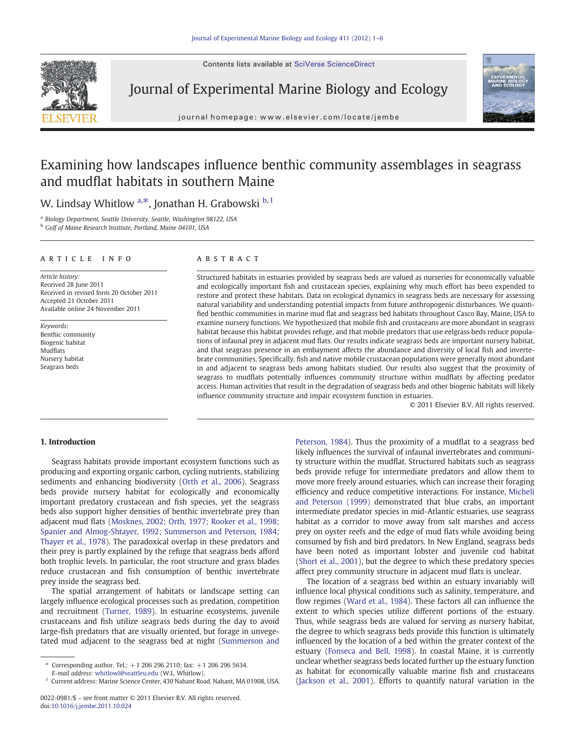Contents lists available at SciVerse ScienceDirect



Journal of Experimental Marine Biology and Ecology

journal homepage: www.elsevier.com/locate/jembe



# Examining how landscapes influence benthic community assemblages in seagrass and mudflat habitats in southern Maine

# W. Lindsay Whitlow <sup>a,\*</sup>, Jonathan H. Grabowski <sup>b, 1</sup>

<sup>a</sup> Biology Department, Seattle University, Seattle, Washington 98122, USA

**b** Gulf of Maine Research Institute, Portland, Maine 04101, USA

#### article info abstract

Article history: Received 28 June 2011 Received in revised form 20 October 2011 Accepted 21 October 2011 Available online 24 November 2011

Keywords: Benthic community Biogenic habitat Mudflats Nursery habitat Seagrass beds

Structured habitats in estuaries provided by seagrass beds are valued as nurseries for economically valuable and ecologically important fish and crustacean species, explaining why much effort has been expended to restore and protect these habitats. Data on ecological dynamics in seagrass beds are necessary for assessing natural variability and understanding potential impacts from future anthropogenic disturbances. We quantified benthic communities in marine mud flat and seagrass bed habitats throughout Casco Bay, Maine, USA to examine nursery functions. We hypothesized that mobile fish and crustaceans are more abundant in seagrass habitat because this habitat provides refuge, and that mobile predators that use eelgrass beds reduce populations of infaunal prey in adjacent mud flats. Our results indicate seagrass beds are important nursery habitat, and that seagrass presence in an embayment affects the abundance and diversity of local fish and invertebrate communities. Specifically, fish and native mobile crustacean populations were generally most abundant in and adjacent to seagrass beds among habitats studied. Our results also suggest that the proximity of seagrass to mudflats potentially influences community structure within mudflats by affecting predator access. Human activities that result in the degradation of seagrass beds and other biogenic habitats will likely influence community structure and impair ecosystem function in estuaries.

© 2011 Elsevier B.V. All rights reserved.

# 1. Introduction

Seagrass habitats provide important ecosystem functions such as producing and exporting organic carbon, cycling nutrients, stabilizing sediments and enhancing biodiversity ([Orth et al., 2006\)](#page-4-0). Seagrass beds provide nursery habitat for ecologically and economically important predatory crustacean and fish species, yet the seagrass beds also support higher densities of benthic invertebrate prey than adjacent mud flats ([Mosknes, 2002; Orth, 1977; Rooker et al., 1998;](#page-4-0) [Spanier and Almog-Shtayer, 1992; Summerson and Peterson, 1984;](#page-4-0) [Thayer et al., 1978](#page-4-0)). The paradoxical overlap in these predators and their prey is partly explained by the refuge that seagrass beds afford both trophic levels. In particular, the root structure and grass blades reduce crustacean and fish consumption of benthic invertebrate prey inside the seagrass bed.

The spatial arrangement of habitats or landscape setting can largely influence ecological processes such as predation, competition and recruitment ([Turner, 1989](#page-5-0)). In estuarine ecosystems, juvenile crustaceans and fish utilize seagrass beds during the day to avoid large-fish predators that are visually oriented, but forage in unvegetated mud adjacent to the seagrass bed at night ([Summerson and](#page-5-0)

[Peterson, 1984](#page-5-0)). Thus the proximity of a mudflat to a seagrass bed likely influences the survival of infaunal invertebrates and community structure within the mudflat. Structured habitats such as seagrass beds provide refuge for intermediate predators and allow them to move more freely around estuaries, which can increase their foraging efficiency and reduce competitive interactions. For instance, [Micheli](#page-4-0) [and Peterson \(1999\)](#page-4-0) demonstrated that blue crabs, an important intermediate predator species in mid-Atlantic estuaries, use seagrass habitat as a corridor to move away from salt marshes and access prey on oyster reefs and the edge of mud flats while avoiding being consumed by fish and bird predators. In New England, seagrass beds have been noted as important lobster and juvenile cod habitat [\(Short et al., 2001](#page-5-0)), but the degree to which these predatory species affect prey community structure in adjacent mud flats is unclear.

The location of a seagrass bed within an estuary invariably will influence local physical conditions such as salinity, temperature, and flow regimes [\(Ward et al., 1984](#page-5-0)). These factors all can influence the extent to which species utilize different portions of the estuary. Thus, while seagrass beds are valued for serving as nursery habitat, the degree to which seagrass beds provide this function is ultimately influenced by the location of a bed within the greater context of the estuary ([Fonseca and Bell, 1998](#page-4-0)). In coastal Maine, it is currently unclear whether seagrass beds located further up the estuary function as habitat for economically valuable marine fish and crustaceans [\(Jackson et al., 2001\)](#page-4-0). Efforts to quantify natural variation in the

<sup>⁎</sup> Corresponding author. Tel.: +1 206 296 2110; fax: +1 206 296 5634.

E-mail address: [whitlowl@seattleu.edu](mailto:whitlowl@seattleu.edu) (W.L. Whitlow).

<sup>1</sup> Current address: Marine Science Center, 430 Nahant Road, Nahant, MA 01908, USA.

<sup>0022-0981/\$</sup> – see front matter © 2011 Elsevier B.V. All rights reserved. doi:[10.1016/j.jembe.2011.10.024](http://dx.doi.org/10.1016/j.jembe.2011.10.024)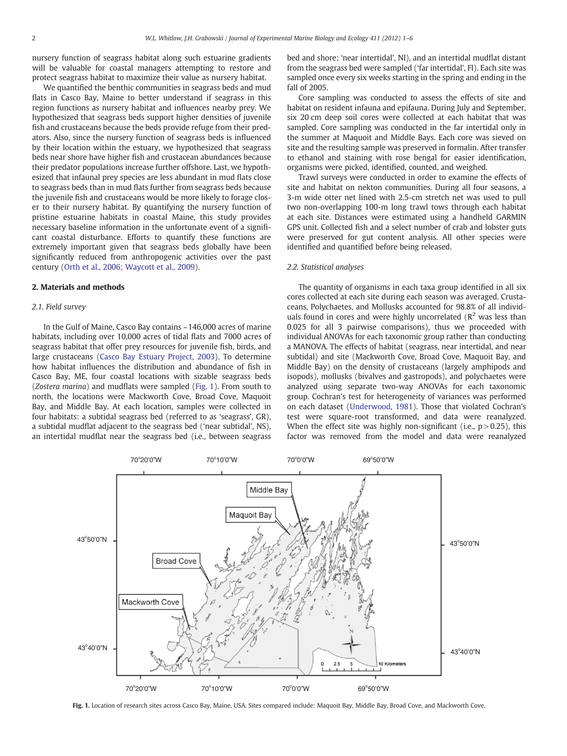nursery function of seagrass habitat along such estuarine gradients will be valuable for coastal managers attempting to restore and protect seagrass habitat to maximize their value as nursery habitat.

We quantified the benthic communities in seagrass beds and mud flats in Casco Bay, Maine to better understand if seagrass in this region functions as nursery habitat and influences nearby prey. We hypothesized that seagrass beds support higher densities of juvenile fish and crustaceans because the beds provide refuge from their predators. Also, since the nursery function of seagrass beds is influenced by their location within the estuary, we hypothesized that seagrass beds near shore have higher fish and crustacean abundances because their predator populations increase further offshore. Last, we hypothesized that infaunal prey species are less abundant in mud flats close to seagrass beds than in mud flats further from seagrass beds because the juvenile fish and crustaceans would be more likely to forage closer to their nursery habitat. By quantifying the nursery function of pristine estuarine habitats in coastal Maine, this study provides necessary baseline information in the unfortunate event of a significant coastal disturbance. Efforts to quantify these functions are extremely important given that seagrass beds globally have been significantly reduced from anthropogenic activities over the past century ([Orth et al., 2006; Waycott et al., 2009\)](#page-4-0).

# 2. Materials and methods

# 2.1. Field survey

In the Gulf of Maine, Casco Bay contains ~146,000 acres of marine habitats, including over 10,000 acres of tidal flats and 7000 acres of seagrass habitat that offer prey resources for juvenile fish, birds, and large crustaceans ([Casco Bay Estuary Project, 2003\)](#page-4-0). To determine how habitat influences the distribution and abundance of fish in Casco Bay, ME, four coastal locations with sizable seagrass beds (Zostera marina) and mudflats were sampled (Fig. 1). From south to north, the locations were Mackworth Cove, Broad Cove, Maquoit Bay, and Middle Bay. At each location, samples were collected in four habitats: a subtidal seagrass bed (referred to as 'seagrass', GR), a subtidal mudflat adjacent to the seagrass bed ('near subtidal', NS), an intertidal mudflat near the seagrass bed (i.e., between seagrass

bed and shore; 'near intertidal', NI), and an intertidal mudflat distant from the seagrass bed were sampled ('far intertidal', FI). Each site was sampled once every six weeks starting in the spring and ending in the fall of 2005.

Core sampling was conducted to assess the effects of site and habitat on resident infauna and epifauna. During July and September, six 20 cm deep soil cores were collected at each habitat that was sampled. Core sampling was conducted in the far intertidal only in the summer at Maquoit and Middle Bays. Each core was sieved on site and the resulting sample was preserved in formalin. After transfer to ethanol and staining with rose bengal for easier identification, organisms were picked, identified, counted, and weighed.

Trawl surveys were conducted in order to examine the effects of site and habitat on nekton communities. During all four seasons, a 3-m wide otter net lined with 2.5-cm stretch net was used to pull two non-overlapping 100-m long trawl tows through each habitat at each site. Distances were estimated using a handheld GARMIN GPS unit. Collected fish and a select number of crab and lobster guts were preserved for gut content analysis. All other species were identified and quantified before being released.

# 2.2. Statistical analyses

The quantity of organisms in each taxa group identified in all six cores collected at each site during each season was averaged. Crustaceans, Polychaetes, and Mollusks accounted for 98.8% of all individuals found in cores and were highly uncorrelated  $(R^2$  was less than 0.025 for all 3 pairwise comparisons), thus we proceeded with individual ANOVAs for each taxonomic group rather than conducting a MANOVA. The effects of habitat (seagrass, near intertidal, and near subtidal) and site (Mackworth Cove, Broad Cove, Maquoit Bay, and Middle Bay) on the density of crustaceans (largely amphipods and isopods), mollusks (bivalves and gastropods), and polychaetes were analyzed using separate two-way ANOVAs for each taxonomic group. Cochran's test for heterogeneity of variances was performed on each dataset ([Underwood, 1981\)](#page-5-0). Those that violated Cochran's test were square-root transformed, and data were reanalyzed. When the effect site was highly non-significant (i.e.,  $p > 0.25$ ), this factor was removed from the model and data were reanalyzed



Fig. 1. Location of research sites across Casco Bay, Maine, USA. Sites compared include: Maquoit Bay, Middle Bay, Broad Cove, and Mackworth Cove.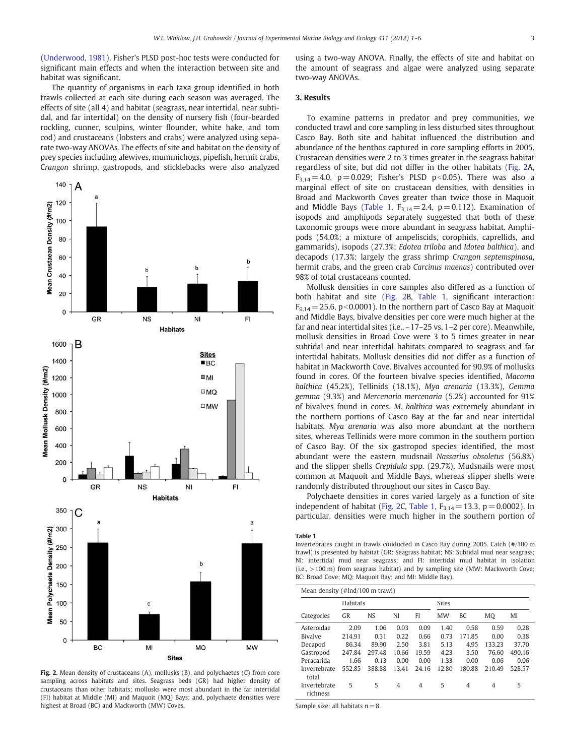<span id="page-2-0"></span>[\(Underwood, 1981](#page-5-0)). Fisher's PLSD post-hoc tests were conducted for significant main effects and when the interaction between site and habitat was significant.

The quantity of organisms in each taxa group identified in both trawls collected at each site during each season was averaged. The effects of site (all 4) and habitat (seagrass, near intertidal, near subtidal, and far intertidal) on the density of nursery fish (four-bearded rockling, cunner, sculpins, winter flounder, white hake, and tom cod) and crustaceans (lobsters and crabs) were analyzed using separate two-way ANOVAs. The effects of site and habitat on the density of prey species including alewives, mummichogs, pipefish, hermit crabs, Crangon shrimp, gastropods, and sticklebacks were also analyzed



Fig. 2. Mean density of crustaceans (A), mollusks (B), and polychaetes (C) from core sampling across habitats and sites. Seagrass beds (GR) had higher density of crustaceans than other habitats; mollusks were most abundant in the far intertidal (FI) habitat at Middle (MI) and Maquoit (MQ) Bays; and, polychaete densities were highest at Broad (BC) and Mackworth (MW) Coves.

using a two-way ANOVA. Finally, the effects of site and habitat on the amount of seagrass and algae were analyzed using separate two-way ANOVAs.

## 3. Results

To examine patterns in predator and prey communities, we conducted trawl and core sampling in less disturbed sites throughout Casco Bay. Both site and habitat influenced the distribution and abundance of the benthos captured in core sampling efforts in 2005. Crustacean densities were 2 to 3 times greater in the seagrass habitat regardless of site, but did not differ in the other habitats (Fig. 2A,  $F_{3,14} = 4.0$ ,  $p = 0.029$ ; Fisher's PLSD  $p < 0.05$ ). There was also a marginal effect of site on crustacean densities, with densities in Broad and Mackworth Coves greater than twice those in Maquoit and Middle Bays (Table 1,  $F_{3,14} = 2.4$ ,  $p = 0.112$ ). Examination of isopods and amphipods separately suggested that both of these taxonomic groups were more abundant in seagrass habitat. Amphipods (54.0%; a mixture of ampeliscids, corophids, caprellids, and gammarids), isopods (27.3%; Edotea triloba and Idotea balthica), and decapods (17.3%; largely the grass shrimp Crangon septemspinosa, hermit crabs, and the green crab Carcinus maenas) contributed over 98% of total crustaceans counted.

Mollusk densities in core samples also differed as a function of both habitat and site (Fig. 2B, Table 1, significant interaction:  $F_{9,14} = 25.6$ , p<0.0001). In the northern part of Casco Bay at Maquoit and Middle Bays, bivalve densities per core were much higher at the far and near intertidal sites (i.e., ~17–25 vs. 1–2 per core). Meanwhile, mollusk densities in Broad Cove were 3 to 5 times greater in near subtidal and near intertidal habitats compared to seagrass and far intertidal habitats. Mollusk densities did not differ as a function of habitat in Mackworth Cove. Bivalves accounted for 90.9% of mollusks found in cores. Of the fourteen bivalve species identified, Macoma balthica (45.2%), Tellinids (18.1%), Mya arenaria (13.3%), Gemma gemma (9.3%) and Mercenaria mercenaria (5.2%) accounted for 91% of bivalves found in cores. M. balthica was extremely abundant in the northern portions of Casco Bay at the far and near intertidal habitats. Mya arenaria was also more abundant at the northern sites, whereas Tellinids were more common in the southern portion of Casco Bay. Of the six gastropod species identified, the most abundant were the eastern mudsnail Nassarius obsoletus (56.8%) and the slipper shells Crepidula spp. (29.7%). Mudsnails were most common at Maquoit and Middle Bays, whereas slipper shells were randomly distributed throughout our sites in Casco Bay.

Polychaete densities in cores varied largely as a function of site independent of habitat (Fig. 2C, Table 1,  $F_{3,14} = 13.3$ , p = 0.0002). In particular, densities were much higher in the southern portion of

#### Table 1

Invertebrates caught in trawls conducted in Casco Bay during 2005. Catch (#/100 m trawl) is presented by habitat (GR: Seagrass habitat; NS: Subtidal mud near seagrass; NI: intertidal mud near seagrass; and FI: intertidal mud habitat in isolation (i.e., >100 m) from seagrass habitat) and by sampling site (MW: Mackworth Cove; BC: Broad Cove; MQ: Maquoit Bay; and MI: Middle Bay).

| Mean density (#lnd/100 m trawl) |                 |           |       |       |              |           |        |        |  |  |  |
|---------------------------------|-----------------|-----------|-------|-------|--------------|-----------|--------|--------|--|--|--|
|                                 | <b>Habitats</b> |           |       |       | <b>Sites</b> |           |        |        |  |  |  |
| Categories                      | <b>GR</b>       | <b>NS</b> | NI    | FI    | <b>MW</b>    | <b>BC</b> | MQ     | MI     |  |  |  |
| Asteroidae                      | 2.09            | 1.06      | 0.03  | 0.09  | 1.40         | 0.58      | 0.59   | 0.28   |  |  |  |
| Bivalve                         | 214.91          | 0.31      | 0.22  | 0.66  | 0.73         | 171.85    | 0.00   | 0.38   |  |  |  |
| Decapod                         | 86.34           | 89.90     | 2.50  | 3.81  | 5.13         | 4.95      | 133.23 | 37.70  |  |  |  |
| Gastropod                       | 247.84          | 297.48    | 10.66 | 19.59 | 4.23         | 3.50      | 76.60  | 490.16 |  |  |  |
| Peracarida                      | 1.66            | 0.13      | 0.00  | 0.00  | 1.33         | 0.00      | 0.06   | 0.06   |  |  |  |
| Invertebrate<br>total           | 552.85          | 388.88    | 13.41 | 24.16 | 12.80        | 180.88    | 210.49 | 528.57 |  |  |  |
| Invertebrate<br>richness        | 5               | 5         | 4     | 4     | 5            | 4         | 4      | 5      |  |  |  |

Sample size: all habitats  $n = 8$ .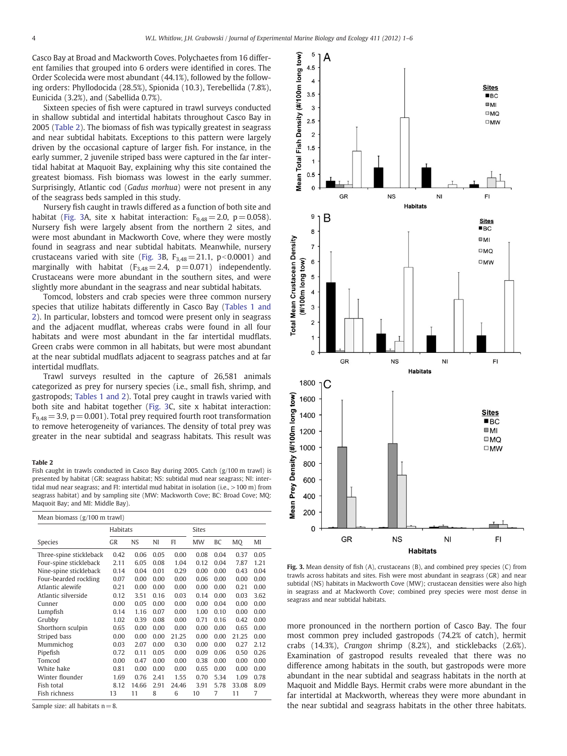Casco Bay at Broad and Mackworth Coves. Polychaetes from 16 different families that grouped into 6 orders were identified in cores. The Order Scolecida were most abundant (44.1%), followed by the following orders: Phyllodocida (28.5%), Spionida (10.3), Terebellida (7.8%), Eunicida (3.2%), and (Sabellida 0.7%).

Sixteen species of fish were captured in trawl surveys conducted in shallow subtidal and intertidal habitats throughout Casco Bay in 2005 (Table 2). The biomass of fish was typically greatest in seagrass and near subtidal habitats. Exceptions to this pattern were largely driven by the occasional capture of larger fish. For instance, in the early summer, 2 juvenile striped bass were captured in the far intertidal habitat at Maquoit Bay, explaining why this site contained the greatest biomass. Fish biomass was lowest in the early summer. Surprisingly, Atlantic cod (Gadus morhua) were not present in any of the seagrass beds sampled in this study.

Nursery fish caught in trawls differed as a function of both site and habitat (Fig. 3A, site x habitat interaction:  $F_{9,48} = 2.0$ , p = 0.058). Nursery fish were largely absent from the northern 2 sites, and were most abundant in Mackworth Cove, where they were mostly found in seagrass and near subtidal habitats. Meanwhile, nursery crustaceans varied with site (Fig. 3B,  $F_{3,48} = 21.1$ , p<0.0001) and marginally with habitat  $(F_{3,48} = 2.4, p = 0.071)$  independently. Crustaceans were more abundant in the southern sites, and were slightly more abundant in the seagrass and near subtidal habitats.

Tomcod, lobsters and crab species were three common nursery species that utilize habitats differently in Casco Bay ([Tables 1 and](#page-2-0) [2](#page-2-0)). In particular, lobsters and tomcod were present only in seagrass and the adjacent mudflat, whereas crabs were found in all four habitats and were most abundant in the far intertidal mudflats. Green crabs were common in all habitats, but were most abundant at the near subtidal mudflats adjacent to seagrass patches and at far intertidal mudflats.

Trawl surveys resulted in the capture of 26,581 animals categorized as prey for nursery species (i.e., small fish, shrimp, and gastropods; [Tables 1 and 2](#page-2-0)). Total prey caught in trawls varied with both site and habitat together (Fig. 3C, site x habitat interaction:  $F_{9,48}$  = 3.9, p = 0.001). Total prey required fourth root transformation to remove heterogeneity of variances. The density of total prey was greater in the near subtidal and seagrass habitats. This result was

#### Table 2

Fish caught in trawls conducted in Casco Bay during 2005. Catch (g/100 m trawl) is presented by habitat (GR: seagrass habitat; NS: subtidal mud near seagrass; NI: intertidal mud near seagrass; and FI: intertidal mud habitat in isolation (i.e., >100 m) from seagrass habitat) and by sampling site (MW: Mackworth Cove; BC: Broad Cove; MQ: Maquoit Bay; and MI: Middle Bay).

| Mean biomass $(g/100 \text{ m} \text{ travl})$ |          |           |      |       |              |      |       |      |  |  |  |
|------------------------------------------------|----------|-----------|------|-------|--------------|------|-------|------|--|--|--|
|                                                | Habitats |           |      |       | <b>Sites</b> |      |       |      |  |  |  |
| Species                                        | GR       | <b>NS</b> | NI   | FI    | <b>MW</b>    | BC   | MQ    | MI   |  |  |  |
| Three-spine stickleback                        | 0.42     | 0.06      | 0.05 | 0.00  | 0.08         | 0.04 | 0.37  | 0.05 |  |  |  |
| Four-spine stickleback                         | 2.11     | 6.05      | 0.08 | 1.04  | 0.12         | 0.04 | 7.87  | 1.21 |  |  |  |
| Nine-spine stickleback                         | 0.14     | 0.04      | 0.01 | 0.29  | 0.00         | 0.00 | 0.43  | 0.04 |  |  |  |
| Four-bearded rockling                          | 0.07     | 0.00      | 0.00 | 0.00  | 0.06         | 0.00 | 0.00  | 0.00 |  |  |  |
| Atlantic alewife                               | 0.21     | 0.00      | 0.00 | 0.00  | 0.00         | 0.00 | 0.21  | 0.00 |  |  |  |
| Atlantic silverside                            | 0.12     | 3.51      | 0.16 | 0.03  | 0.14         | 0.00 | 0.03  | 3.62 |  |  |  |
| Cunner                                         | 0.00     | 0.05      | 0.00 | 0.00  | 0.00         | 0.04 | 0.00  | 0.00 |  |  |  |
| Lumpfish                                       | 0.14     | 1.16      | 0.07 | 0.00  | 1.00         | 0.10 | 0.00  | 0.00 |  |  |  |
| Grubby                                         | 1.02     | 0.39      | 0.08 | 0.00  | 0.71         | 0.16 | 0.42  | 0.00 |  |  |  |
| Shorthorn sculpin                              | 0.65     | 0.00      | 0.00 | 0.00  | 0.00         | 0.00 | 0.65  | 0.00 |  |  |  |
| Striped bass                                   | 0.00     | 0.00      | 0.00 | 21.25 | 0.00         | 0.00 | 21.25 | 0.00 |  |  |  |
| Mummichog                                      | 0.03     | 2.07      | 0.00 | 0.30  | 0.00         | 0.00 | 0.27  | 2.12 |  |  |  |
| Pipefish                                       | 0.72     | 0.11      | 0.05 | 0.00  | 0.09         | 0.06 | 0.50  | 0.26 |  |  |  |
| Tomcod                                         | 0.00     | 0.47      | 0.00 | 0.00  | 0.38         | 0.00 | 0.00  | 0.00 |  |  |  |
| White hake                                     | 0.81     | 0.00      | 0.00 | 0.00  | 0.65         | 0.00 | 0.00  | 0.00 |  |  |  |
| Winter flounder                                | 1.69     | 0.76      | 2.41 | 1.55  | 0.70         | 5.34 | 1.09  | 0.78 |  |  |  |
| Fish total                                     | 8.12     | 14.66     | 2.91 | 24.46 | 3.91         | 5.78 | 33.08 | 8.09 |  |  |  |
| Fish richness                                  | 13       | 11        | 8    | 6     | 10           | 7    | 11    | 7    |  |  |  |

Sample size: all habitats  $n = 8$ .



Fig. 3. Mean density of fish (A), crustaceans (B), and combined prey species (C) from trawls across habitats and sites. Fish were most abundant in seagrass (GR) and near subtidal (NS) habitats in Mackworth Cove (MW); crustacean densities were also high in seagrass and at Mackworth Cove; combined prey species were most dense in seagrass and near subtidal habitats.

more pronounced in the northern portion of Casco Bay. The four most common prey included gastropods (74.2% of catch), hermit crabs (14.3%), Crangon shrimp (8.2%), and sticklebacks (2.6%). Examination of gastropod results revealed that there was no difference among habitats in the south, but gastropods were more abundant in the near subtidal and seagrass habitats in the north at Maquoit and Middle Bays. Hermit crabs were more abundant in the far intertidal at Mackworth, whereas they were more abundant in the near subtidal and seagrass habitats in the other three habitats.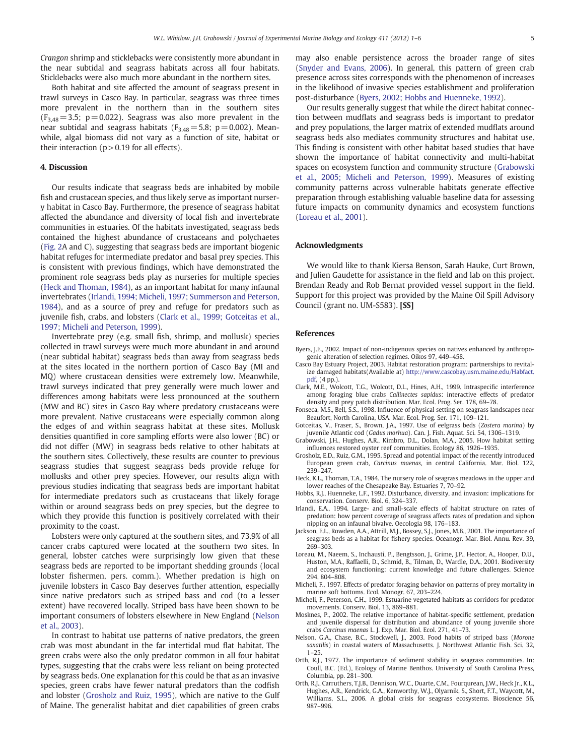<span id="page-4-0"></span>Crangon shrimp and sticklebacks were consistently more abundant in the near subtidal and seagrass habitats across all four habitats. Sticklebacks were also much more abundant in the northern sites.

Both habitat and site affected the amount of seagrass present in trawl surveys in Casco Bay. In particular, seagrass was three times more prevalent in the northern than in the southern sites  $(F_{3,48}= 3.5; p= 0.022)$ . Seagrass was also more prevalent in the near subtidal and seagrass habitats ( $F_{3,48}$  = 5.8; p = 0.002). Meanwhile, algal biomass did not vary as a function of site, habitat or their interaction ( $p > 0.19$  for all effects).

#### 4. Discussion

Our results indicate that seagrass beds are inhabited by mobile fish and crustacean species, and thus likely serve as important nursery habitat in Casco Bay. Furthermore, the presence of seagrass habitat affected the abundance and diversity of local fish and invertebrate communities in estuaries. Of the habitats investigated, seagrass beds contained the highest abundance of crustaceans and polychaetes [\(Fig. 2](#page-2-0)A and C), suggesting that seagrass beds are important biogenic habitat refuges for intermediate predator and basal prey species. This is consistent with previous findings, which have demonstrated the prominent role seagrass beds play as nurseries for multiple species (Heck and Thoman, 1984), as an important habitat for many infaunal invertebrates (Irlandi, 1994; Micheli, 1997; Summerson and Peterson, 1984), and as a source of prey and refuge for predators such as juvenile fish, crabs, and lobsters (Clark et al., 1999; Gotceitas et al., 1997; Micheli and Peterson, 1999).

Invertebrate prey (e.g. small fish, shrimp, and mollusk) species collected in trawl surveys were much more abundant in and around (near subtidal habitat) seagrass beds than away from seagrass beds at the sites located in the northern portion of Casco Bay (MI and MQ) where crustacean densities were extremely low. Meanwhile, trawl surveys indicated that prey generally were much lower and differences among habitats were less pronounced at the southern (MW and BC) sites in Casco Bay where predatory crustaceans were more prevalent. Native crustaceans were especially common along the edges of and within seagrass habitat at these sites. Mollusk densities quantified in core sampling efforts were also lower (BC) or did not differ (MW) in seagrass beds relative to other habitats at the southern sites. Collectively, these results are counter to previous seagrass studies that suggest seagrass beds provide refuge for mollusks and other prey species. However, our results align with previous studies indicating that seagrass beds are important habitat for intermediate predators such as crustaceans that likely forage within or around seagrass beds on prey species, but the degree to which they provide this function is positively correlated with their proximity to the coast.

Lobsters were only captured at the southern sites, and 73.9% of all cancer crabs captured were located at the southern two sites. In general, lobster catches were surprisingly low given that these seagrass beds are reported to be important shedding grounds (local lobster fishermen, pers. comm.). Whether predation is high on juvenile lobsters in Casco Bay deserves further attention, especially since native predators such as striped bass and cod (to a lesser extent) have recovered locally. Striped bass have been shown to be important consumers of lobsters elsewhere in New England (Nelson et al., 2003).

In contrast to habitat use patterns of native predators, the green crab was most abundant in the far intertidal mud flat habitat. The green crabs were also the only predator common in all four habitat types, suggesting that the crabs were less reliant on being protected by seagrass beds. One explanation for this could be that as an invasive species, green crabs have fewer natural predators than the codfish and lobster (Grosholz and Ruiz, 1995), which are native to the Gulf of Maine. The generalist habitat and diet capabilities of green crabs may also enable persistence across the broader range of sites [\(Snyder and Evans, 2006\)](#page-5-0). In general, this pattern of green crab presence across sites corresponds with the phenomenon of increases in the likelihood of invasive species establishment and proliferation post-disturbance (Byers, 2002; Hobbs and Huenneke, 1992).

Our results generally suggest that while the direct habitat connection between mudflats and seagrass beds is important to predator and prey populations, the larger matrix of extended mudflats around seagrass beds also mediates community structures and habitat use. This finding is consistent with other habitat based studies that have shown the importance of habitat connectivity and multi-habitat spaces on ecosystem function and community structure (Grabowski et al., 2005; Micheli and Peterson, 1999). Measures of existing community patterns across vulnerable habitats generate effective preparation through establishing valuable baseline data for assessing future impacts on community dynamics and ecosystem functions (Loreau et al., 2001).

### Acknowledgments

We would like to thank Kiersa Benson, Sarah Hauke, Curt Brown, and Julien Gaudette for assistance in the field and lab on this project. Brendan Ready and Rob Bernat provided vessel support in the field. Support for this project was provided by the Maine Oil Spill Advisory Council (grant no. UM-S583). [SS]

#### **References**

- Byers, J.E., 2002. Impact of non-indigenous species on natives enhanced by anthropogenic alteration of selection regimes. Oikos 97, 449–458.
- Casco Bay Estuary Project, 2003. Habitat restoration program: partnerships to revitalize damaged habitats(Available at) [http://www.cascobay.usm.maine.edu/Habfact.](http://www.cascobay.usm.maine.edu/Habfact.pdf) [pdf](http://www.cascobay.usm.maine.edu/Habfact.pdf), (4 pp.).
- Clark, M.E., Wolcott, T.G., Wolcott, D.L., Hines, A.H., 1999. Intraspecific interference among foraging blue crabs Callinectes sapidus: interactive effects of predator density and prey patch distribution. Mar. Ecol. Prog. Ser. 178, 69–78.
- Fonseca, M.S., Bell, S.S., 1998. Influence of physical setting on seagrass landscapes near Beaufort, North Carolina, USA. Mar. Ecol. Prog. Ser. 171, 109–121.
- Gotceitas, V., Fraser, S., Brown, J.A., 1997. Use of eelgrass beds (Zostera marina) by juvenile Atlantic cod (Gadus morhua). Can. J. Fish. Aquat. Sci. 54, 1306–1319.
- Grabowski, J.H., Hughes, A.R., Kimbro, D.L., Dolan, M.A., 2005. How habitat setting influences restored oyster reef communities. Ecology 86, 1926–1935.
- Grosholz, E.D., Ruiz, G.M., 1995. Spread and potential impact of the recently introduced European green crab, Carcinus maenas, in central California. Mar. Biol. 122, 239–247.
- Heck, K.L., Thoman, T.A., 1984. The nursery role of seagrass meadows in the upper and lower reaches of the Chesapeake Bay. Estuaries 7, 70–92.
- Hobbs, R.J., Huenneke, L.F., 1992. Disturbance, diversity, and invasion: implications for conservation. Conserv. Biol. 6, 324–337.
- Irlandi, E.A., 1994. Large- and small-scale effects of habitat structure on rates of predation: how percent coverage of seagrass affects rates of predation and siphon nipping on an infaunal bivalve. Oecologia 98, 176–183.
- Jackson, E.L., Rowden, A.A., Attrill, M.J., Bossey, S.J., Jones, M.B., 2001. The importance of seagrass beds as a habitat for fishery species. Oceanogr. Mar. Biol. Annu. Rev. 39, 269–303.
- Loreau, M., Naeem, S., Inchausti, P., Bengtsson, J., Grime, J.P., Hector, A., Hooper, D.U., Huston, M.A., Raffaelli, D., Schmid, B., Tilman, D., Wardle, D.A., 2001. Biodiversity and ecosystem functioning: current knowledge and future challenges. Science 294, 804–808.
- Micheli, F., 1997. Effects of predator foraging behavior on patterns of prey mortality in marine soft bottoms. Ecol. Monogr. 67, 203–224.
- Micheli, F., Peterson, C.H., 1999. Estuarine vegetated habitats as corridors for predator movements. Conserv. Biol. 13, 869–881.
- Mosknes, P., 2002. The relative importance of habitat-specific settlement, predation and juvenile dispersal for distribution and abundance of young juvenile shore crabs Carcinus maenas L. J. Exp. Mar. Biol. Ecol. 271, 41–73.
- Nelson, G.A., Chase, B.C., Stockwell, J., 2003. Food habits of striped bass (Morone saxatilis) in coastal waters of Massachusetts. J. Northwest Atlantic Fish. Sci. 32, 1–25.
- Orth, R.J., 1977. The importance of sediment stability in seagrass communities. In: Coull, B.C. (Ed.), Ecology of Marine Benthos. University of South Carolina Press, Columbia, pp. 281–300.
- Orth, R.J., Carruthers, T.J.B., Dennison, W.C., Duarte, C.M., Fourqurean, J.W., Heck Jr., K.L., Hughes, A.R., Kendrick, G.A., Kenworthy, W.J., Olyarnik, S., Short, F.T., Waycott, M., Williams, S.L., 2006. A global crisis for seagrass ecosystems. Bioscience 56, 987–996.